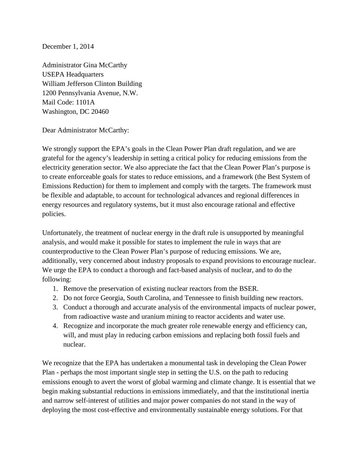## December 1, 2014

Administrator Gina McCarthy USEPA Headquarters William Jefferson Clinton Building 1200 Pennsylvania Avenue, N.W. Mail Code: 1101A Washington, DC 20460

Dear Administrator McCarthy:

We strongly support the EPA's goals in the Clean Power Plan draft regulation, and we are grateful for the agency's leadership in setting a critical policy for reducing emissions from the electricity generation sector. We also appreciate the fact that the Clean Power Plan's purpose is to create enforceable goals for states to reduce emissions, and a framework (the Best System of Emissions Reduction) for them to implement and comply with the targets. The framework must be flexible and adaptable, to account for technological advances and regional differences in energy resources and regulatory systems, but it must also encourage rational and effective policies.

Unfortunately, the treatment of nuclear energy in the draft rule is unsupported by meaningful analysis, and would make it possible for states to implement the rule in ways that are counterproductive to the Clean Power Plan's purpose of reducing emissions. We are, additionally, very concerned about industry proposals to expand provisions to encourage nuclear. We urge the EPA to conduct a thorough and fact-based analysis of nuclear, and to do the following:

- 1. Remove the preservation of existing nuclear reactors from the BSER.
- 2. Do not force Georgia, South Carolina, and Tennessee to finish building new reactors.
- 3. Conduct a thorough and accurate analysis of the environmental impacts of nuclear power, from radioactive waste and uranium mining to reactor accidents and water use.
- 4. Recognize and incorporate the much greater role renewable energy and efficiency can, will, and must play in reducing carbon emissions and replacing both fossil fuels and nuclear.

We recognize that the EPA has undertaken a monumental task in developing the Clean Power Plan - perhaps the most important single step in setting the U.S. on the path to reducing emissions enough to avert the worst of global warming and climate change. It is essential that we begin making substantial reductions in emissions immediately, and that the institutional inertia and narrow self-interest of utilities and major power companies do not stand in the way of deploying the most cost-effective and environmentally sustainable energy solutions. For that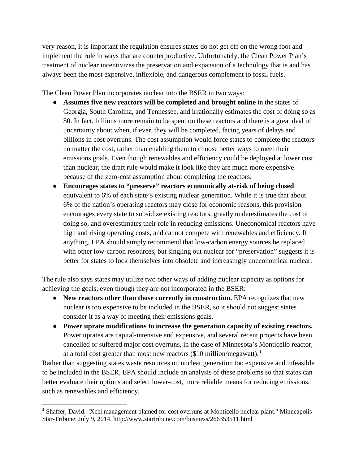very reason, it is important the regulation ensures states do not get off on the wrong foot and implement the rule in ways that are counterproductive. Unfortunately, the Clean Power Plan's treatment of nuclear incentivizes the preservation and expansion of a technology that is and has always been the most expensive, inflexible, and dangerous complement to fossil fuels.

The Clean Power Plan incorporates nuclear into the BSER in two ways:

- **Assumes five new reactors will be completed and brought online** in the states of Georgia, South Carolina, and Tennessee, and irrationally estimates the cost of doing so as \$0. In fact, billions more remain to be spent on these reactors and there is a great deal of uncertainty about when, if ever, they will be completed, facing years of delays and billions in cost overruns. The cost assumption would force states to complete the reactors no matter the cost, rather than enabling them to choose better ways to meet their emissions goals. Even though renewables and efficiency could be deployed at lower cost than nuclear, the draft rule would make it look like they are much more expensive because of the zero-cost assumption about completing the reactors.
- **Encourages states to "preserve" reactors economically at-risk of being closed**, equivalent to 6% of each state's existing nuclear generation. While it is true that about 6% of the nation's operating reactors may close for economic reasons, this provision encourages every state to subsidize existing reactors, greatly underestimates the cost of doing so, and overestimates their role in reducing emissions. Uneconomical reactors have high and rising operating costs, and cannot compete with renewables and efficiency. If anything, EPA should simply recommend that low-carbon energy sources be replaced with other low-carbon resources, but singling out nuclear for "preservation" suggests it is better for states to lock themselves into obsolete and increasingly uneconomical nuclear.

The rule also says states may utilize two other ways of adding nuclear capacity as options for achieving the goals, even though they are not incorporated in the BSER:

- New reactors other than those currently in construction. EPA recognizes that new nuclear is too expensive to be included in the BSER, so it should not suggest states consider it as a way of meeting their emissions goals.
- **Power uprate modifications to increase the generation capacity of existing reactors.** Power uprates are capital-intensive and expensive, and several recent projects have been cancelled or suffered major cost overruns, in the case of Minnesota's Monticello reactor, at a total cost greater than most new reactors (\$[1](#page-1-0)0 million/megawatt).<sup>1</sup>

Rather than suggesting states waste resources on nuclear generation too expensive and infeasible to be included in the BSER, EPA should include an analysis of these problems so that states can better evaluate their options and select lower-cost, more reliable means for reducing emissions, such as renewables and efficiency.

<span id="page-1-0"></span><sup>&</sup>lt;sup>1</sup> Shaffer, David. "Xcel management blamed for cost overruns at Monticello nuclear plant." Minneapolis Star-Tribune. July 9, 2014. http://www.startribune.com/business/266353511.html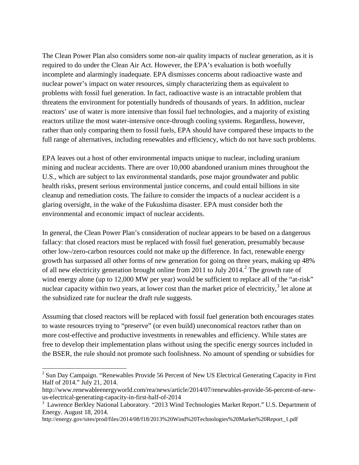The Clean Power Plan also considers some non-air quality impacts of nuclear generation, as it is required to do under the Clean Air Act. However, the EPA's evaluation is both woefully incomplete and alarmingly inadequate. EPA dismisses concerns about radioactive waste and nuclear power's impact on water resources, simply characterizing them as equivalent to problems with fossil fuel generation. In fact, radioactive waste is an intractable problem that threatens the environment for potentially hundreds of thousands of years. In addition, nuclear reactors' use of water is more intensive than fossil fuel technologies, and a majority of existing reactors utilize the most water-intensive once-through cooling systems. Regardless, however, rather than only comparing them to fossil fuels, EPA should have compared these impacts to the full range of alternatives, including renewables and efficiency, which do not have such problems.

EPA leaves out a host of other environmental impacts unique to nuclear, including uranium mining and nuclear accidents. There are over 10,000 abandoned uranium mines throughout the U.S., which are subject to lax environmental standards, pose major groundwater and public health risks, present serious environmental justice concerns, and could entail billions in site cleanup and remediation costs. The failure to consider the impacts of a nuclear accident is a glaring oversight, in the wake of the Fukushima disaster. EPA must consider both the environmental and economic impact of nuclear accidents.

In general, the Clean Power Plan's consideration of nuclear appears to be based on a dangerous fallacy: that closed reactors must be replaced with fossil fuel generation, presumably because other low-/zero-carbon resources could not make up the difference. In fact, renewable energy growth has surpassed all other forms of new generation for going on three years, making up 48% of all new electricity generation brought online from [2](#page-2-0)011 to July 2014.<sup>2</sup> The growth rate of wind energy alone (up to 12,000 MW per year) would be sufficient to replace all of the "at-risk" nuclear capacity within two years, at lower cost than the market price of electricity,<sup>[3](#page-2-1)</sup> let alone at the subsidized rate for nuclear the draft rule suggests.

Assuming that closed reactors will be replaced with fossil fuel generation both encourages states to waste resources trying to "preserve" (or even build) uneconomical reactors rather than on more cost-effective and productive investments in renewables and efficiency. While states are free to develop their implementation plans without using the specific energy sources included in the BSER, the rule should not promote such foolishness. No amount of spending or subsidies for

<span id="page-2-0"></span><sup>&</sup>lt;sup>2</sup> Sun Day Campaign. "Renewables Provide 56 Percent of New US Electrical Generating Capacity in First Half of 2014." July 21, 2014.

http://www.renewableenergyworld.com/rea/news/article/2014/07/renewables-provide-56-percent-of-newus-electrical-generating-capacity-in-first-half-of-2014

<span id="page-2-1"></span><sup>&</sup>lt;sup>3</sup> Lawrence Berkley National Laboratory. "2013 Wind Technologies Market Report." U.S. Department of Energy. August 18, 2014.

http://energy.gov/sites/prod/files/2014/08/f18/2013%20Wind%20Technologies%20Market%20Report\_1.pdf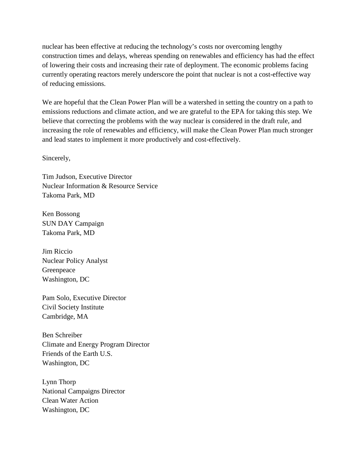nuclear has been effective at reducing the technology's costs nor overcoming lengthy construction times and delays, whereas spending on renewables and efficiency has had the effect of lowering their costs and increasing their rate of deployment. The economic problems facing currently operating reactors merely underscore the point that nuclear is not a cost-effective way of reducing emissions.

We are hopeful that the Clean Power Plan will be a watershed in setting the country on a path to emissions reductions and climate action, and we are grateful to the EPA for taking this step. We believe that correcting the problems with the way nuclear is considered in the draft rule, and increasing the role of renewables and efficiency, will make the Clean Power Plan much stronger and lead states to implement it more productively and cost-effectively.

Sincerely,

Tim Judson, Executive Director Nuclear Information & Resource Service Takoma Park, MD

Ken Bossong SUN DAY Campaign Takoma Park, MD

Jim Riccio Nuclear Policy Analyst Greenpeace Washington, DC

Pam Solo, Executive Director Civil Society Institute Cambridge, MA

Ben Schreiber Climate and Energy Program Director Friends of the Earth U.S. Washington, DC

Lynn Thorp National Campaigns Director Clean Water Action Washington, DC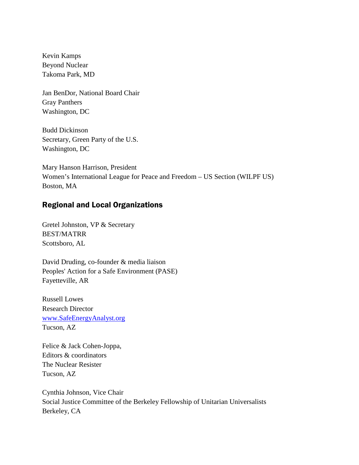Kevin Kamps Beyond Nuclear Takoma Park, MD

Jan BenDor, National Board Chair Gray Panthers Washington, DC

Budd Dickinson Secretary, Green Party of the U.S. Washington, DC

Mary Hanson Harrison, President Women's International League for Peace and Freedom – US Section (WILPF US) Boston, MA

## Regional and Local Organizations

Gretel Johnston, VP & Secretary BEST/MATRR Scottsboro, AL

David Druding, co-founder & media liaison Peoples' Action for a Safe Environment (PASE) Fayetteville, AR

Russell Lowes Research Director [www.SafeEnergyAnalyst.org](http://www.safeenergyanalyst.org/) Tucson, AZ

Felice & Jack Cohen-Joppa, Editors & coordinators The Nuclear Resister Tucson, AZ

Cynthia Johnson, Vice Chair Social Justice Committee of the Berkeley Fellowship of Unitarian Universalists Berkeley, CA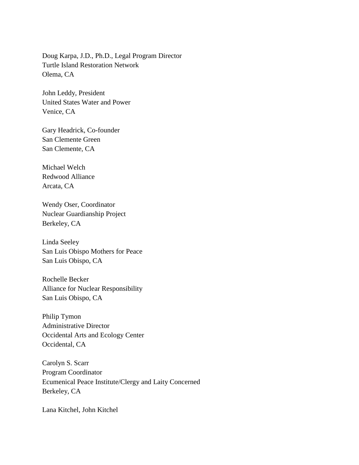Doug Karpa, J.D., Ph.D., Legal Program Director Turtle Island Restoration Network Olema, CA

John Leddy, President United States Water and Power Venice, CA

Gary Headrick, Co-founder San Clemente Green San Clemente, CA

Michael Welch Redwood Alliance Arcata, CA

Wendy Oser, Coordinator Nuclear Guardianship Project Berkeley, CA

Linda Seeley San Luis Obispo Mothers for Peace San Luis Obispo, CA

Rochelle Becker Alliance for Nuclear Responsibility San Luis Obispo, CA

Philip Tymon Administrative Director Occidental Arts and Ecology Center Occidental, CA

Carolyn S. Scarr Program Coordinator Ecumenical Peace Institute/Clergy and Laity Concerned Berkeley, CA

Lana Kitchel, John Kitchel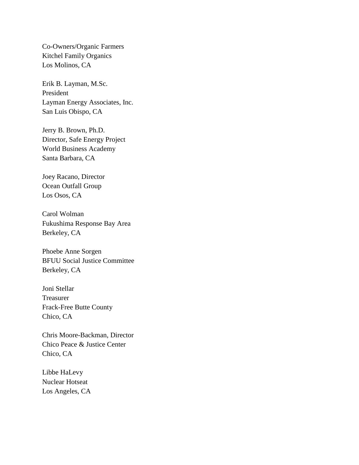Co-Owners/Organic Farmers Kitchel Family Organics Los Molinos, CA

Erik B. Layman, M.Sc. President Layman Energy Associates, Inc. San Luis Obispo, CA

Jerry B. Brown, Ph.D. Director, Safe Energy Project World Business Academy Santa Barbara, CA

Joey Racano, Director Ocean Outfall Group Los Osos, CA

Carol Wolman Fukushima Response Bay Area Berkeley, CA

Phoebe Anne Sorgen BFUU Social Justice Committee Berkeley, CA

Joni Stellar Treasurer Frack-Free Butte County Chico, CA

Chris Moore-Backman, Director Chico Peace & Justice Center Chico, CA

Libbe HaLevy Nuclear Hotseat Los Angeles, CA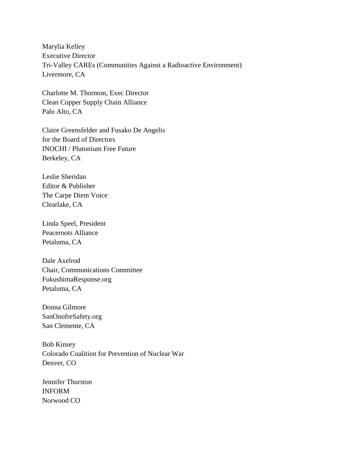Marylia Kelley Executive Director Tri-Valley CAREs (Communities Against a Radioactive Environment) Livermore, CA

Charlotte M. Thornton, Exec Director Clean Copper Supply Chain Alliance Palo Alto, CA

Claire Greensfelder and Fusako De Angelis for the Board of Directors INOCHI / Plutonium Free Future Berkeley, CA

Leslie Sheridan Editor & Publisher The Carpe Diem Voice Clearlake, CA

Linda Speel, President Peaceroots Alliance Petaluma, CA

Dale Axelrod Chair, Communications Committee FukushimaResponse.org Petaluma, CA

Donna Gilmore SanOnofreSafety.org San Clemente, CA

Bob Kinsey Colorado Coalition for Prevention of Nuclear War Denver, CO

Jennifer Thurston INFORM Norwood CO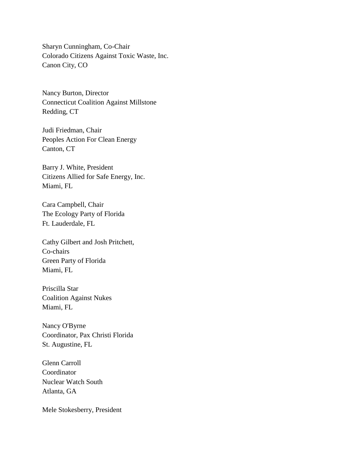Sharyn Cunningham, Co-Chair Colorado Citizens Against Toxic Waste, Inc. Canon City, CO

Nancy Burton, Director Connecticut Coalition Against Millstone Redding, CT

Judi Friedman, Chair Peoples Action For Clean Energy Canton, CT

Barry J. White, President Citizens Allied for Safe Energy, Inc. Miami, FL

Cara Campbell, Chair The Ecology Party of Florida Ft. Lauderdale, FL

Cathy Gilbert and Josh Pritchett, Co-chairs Green Party of Florida Miami, FL

Priscilla Star Coalition Against Nukes Miami, FL

Nancy O'Byrne Coordinator, Pax Christi Florida St. Augustine, FL

Glenn Carroll Coordinator Nuclear Watch South Atlanta, GA

Mele Stokesberry, President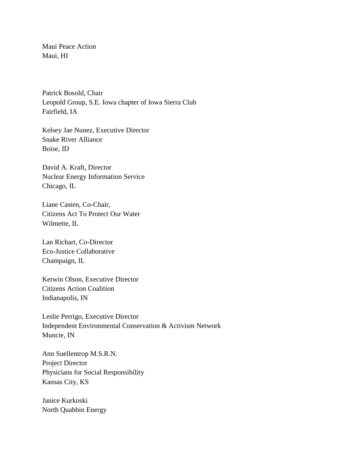Maui Peace Action Maui, HI

Patrick Bosold, Chair Leopold Group, S.E. Iowa chapter of Iowa Sierra Club Fairfield, IA

Kelsey Jae Nunez, Executive Director Snake River Alliance Boise, ID

David A. Kraft, Director Nuclear Energy Information Service Chicago, IL

Liane Casten, Co-Chair, Citizens Act To Protect Our Water Wilmette, IL

Lan Richart, Co-Director Eco-Justice Collaborative Champaign, IL

Kerwin Olson, Executive Director Citizens Action Coalition Indianapolis, IN

Leslie Perrigo, Executive Director Independent Environmental Conservation & Activism Network Muncie, IN

Ann Suellentrop M.S.R.N. Project Director Physicians for Social Responsibility Kansas City, KS

Janice Kurkoski North Quabbin Energy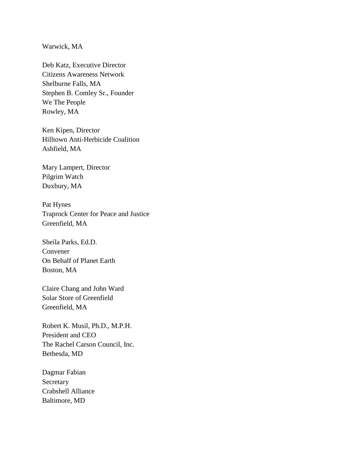Warwick, MA

Deb Katz, Executive Director Citizens Awareness Network Shelburne Falls, MA Stephen B. Comley Sr., Founder We The People Rowley, MA

Ken Kipen, Director Hilltown Anti-Herbicide Coalition Ashfield, MA

Mary Lampert, Director Pilgrim Watch Duxbury, MA

Pat Hynes Traprock Center for Peace and Justice Greenfield, MA

Sheila Parks, Ed.D. Convener On Behalf of Planet Earth Boston, MA

Claire Chang and John Ward Solar Store of Greenfield Greenfield, MA

Robert K. Musil, Ph.D., M.P.H. President and CEO The Rachel Carson Council, Inc. Bethesda, MD

Dagmar Fabian Secretary Crabshell Alliance Baltimore, MD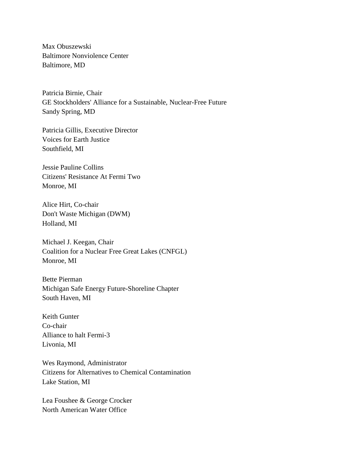Max Obuszewski Baltimore Nonviolence Center Baltimore, MD

Patricia Birnie, Chair GE Stockholders' Alliance for a Sustainable, Nuclear-Free Future Sandy Spring, MD

Patricia Gillis, Executive Director Voices for Earth Justice Southfield, MI

Jessie Pauline Collins Citizens' Resistance At Fermi Two Monroe, MI

Alice Hirt, Co-chair Don't Waste Michigan (DWM) Holland, MI

Michael J. Keegan, Chair Coalition for a Nuclear Free Great Lakes (CNFGL) Monroe, MI

Bette Pierman Michigan Safe Energy Future-Shoreline Chapter South Haven, MI

Keith Gunter Co-chair Alliance to halt Fermi-3 Livonia, MI

Wes Raymond, Administrator Citizens for Alternatives to Chemical Contamination Lake Station, MI

Lea Foushee & George Crocker North American Water Office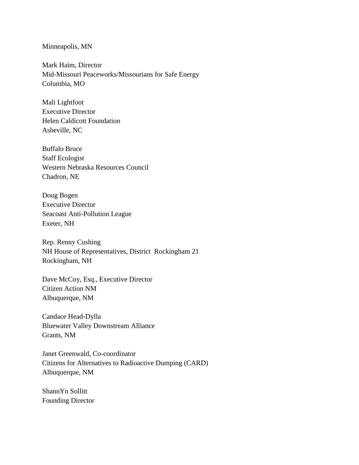## Minneapolis, MN

Mark Haim, Director Mid-Missouri Peaceworks/Missourians for Safe Energy Columbia, MO

Mali Lightfoot Executive Director Helen Caldicott Foundation Asheville, NC

Buffalo Bruce Staff Ecologist Western Nebraska Resources Council Chadron, NE

Doug Bogen Executive Director Seacoast Anti-Pollution League Exeter, NH

Rep. Renny Cushing NH House of Representatives, District Rockingham 21 Rockingham, NH

Dave McCoy, Esq., Executive Director Citizen Action NM Albuquerque, NM

Candace Head-Dylla Bluewater Valley Downstream Alliance Grants, NM

Janet Greenwald, Co-coordinator Citizens for Alternatives to Radioactive Dumping (CARD) Albuquerque, NM

ShannYn Sollitt Founding Director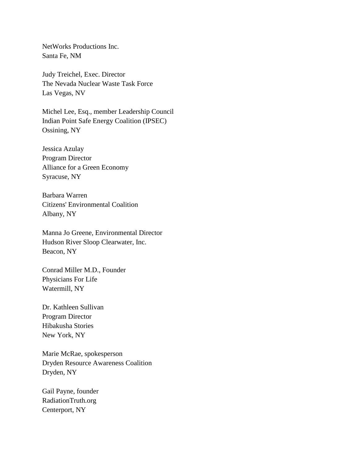NetWorks Productions Inc. Santa Fe, NM

Judy Treichel, Exec. Director The Nevada Nuclear Waste Task Force Las Vegas, NV

Michel Lee, Esq., member Leadership Council Indian Point Safe Energy Coalition (IPSEC) Ossining, NY

Jessica Azulay Program Director Alliance for a Green Economy Syracuse, NY

Barbara Warren Citizens' Environmental Coalition Albany, NY

Manna Jo Greene, Environmental Director Hudson River Sloop Clearwater, Inc. Beacon, NY

Conrad Miller M.D., Founder Physicians For Life Watermill, NY

Dr. Kathleen Sullivan Program Director Hibakusha Stories New York, NY

Marie McRae, spokesperson Dryden Resource Awareness Coalition Dryden, NY

Gail Payne, founder RadiationTruth.org Centerport, NY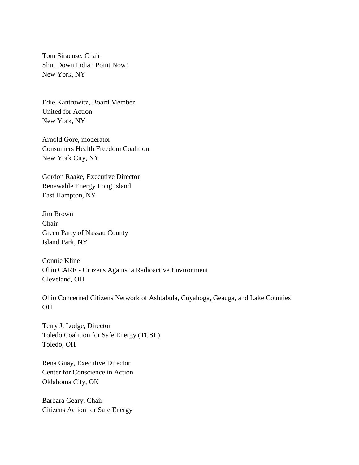Tom Siracuse, Chair Shut Down Indian Point Now! New York, NY

Edie Kantrowitz, Board Member United for Action New York, NY

Arnold Gore, moderator Consumers Health Freedom Coalition New York City, NY

Gordon Raake, Executive Director Renewable Energy Long Island East Hampton, NY

Jim Brown Chair Green Party of Nassau County Island Park, NY

Connie Kline Ohio CARE - Citizens Against a Radioactive Environment Cleveland, OH

Ohio Concerned Citizens Network of Ashtabula, Cuyahoga, Geauga, and Lake Counties OH

Terry J. Lodge, Director Toledo Coalition for Safe Energy (TCSE) Toledo, OH

Rena Guay, Executive Director Center for Conscience in Action Oklahoma City, OK

Barbara Geary, Chair Citizens Action for Safe Energy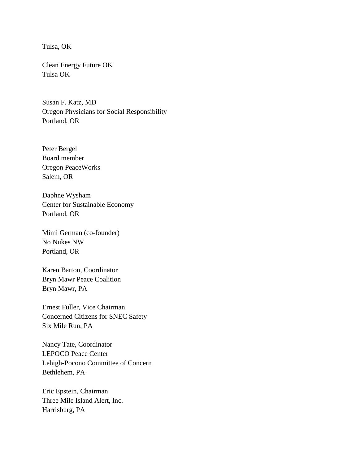Tulsa, OK

Clean Energy Future OK Tulsa OK

Susan F. Katz, MD Oregon Physicians for Social Responsibility Portland, OR

Peter Bergel Board member Oregon PeaceWorks Salem, OR

Daphne Wysham Center for Sustainable Economy Portland, OR

Mimi German (co-founder) No Nukes NW Portland, OR

Karen Barton, Coordinator Bryn Mawr Peace Coalition Bryn Mawr, PA

Ernest Fuller, Vice Chairman Concerned Citizens for SNEC Safety Six Mile Run, PA

Nancy Tate, Coordinator LEPOCO Peace Center Lehigh-Pocono Committee of Concern Bethlehem, PA

Eric Epstein, Chairman Three Mile Island Alert, Inc. Harrisburg, PA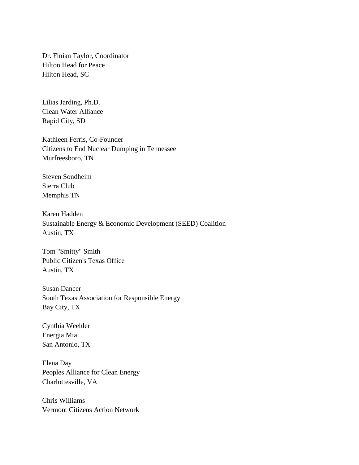Dr. Finian Taylor, Coordinator Hilton Head for Peace Hilton Head, SC

Lilias Jarding, Ph.D. Clean Water Alliance Rapid City, SD

Kathleen Ferris, Co-Founder Citizens to End Nuclear Dumping in Tennessee Murfreesboro, TN

Steven Sondheim Sierra Club Memphis TN

Karen Hadden Sustainable Energy & Economic Development (SEED) Coalition Austin, TX

Tom "Smitty" Smith Public Citizen's Texas Office Austin, TX

Susan Dancer South Texas Association for Responsible Energy Bay City, TX

Cynthia Weehler Energia Mia San Antonio, TX

Elena Day Peoples Alliance for Clean Energy Charlottesville, VA

Chris Williams Vermont Citizens Action Network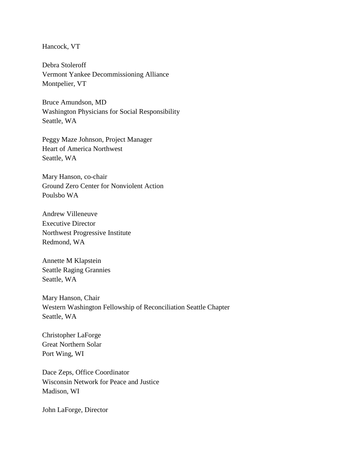Hancock, VT

Debra Stoleroff Vermont Yankee Decommissioning Alliance Montpelier, VT

Bruce Amundson, MD Washington Physicians for Social Responsibility Seattle, WA

Peggy Maze Johnson, Project Manager Heart of America Northwest Seattle, WA

Mary Hanson, co-chair Ground Zero Center for Nonviolent Action Poulsbo WA

Andrew Villeneuve Executive Director Northwest Progressive Institute Redmond, WA

Annette M Klapstein Seattle Raging Grannies Seattle, WA

Mary Hanson, Chair Western Washington Fellowship of Reconciliation Seattle Chapter Seattle, WA

Christopher LaForge Great Northern Solar Port Wing, WI

Dace Zeps, Office Coordinator Wisconsin Network for Peace and Justice Madison, WI

John LaForge, Director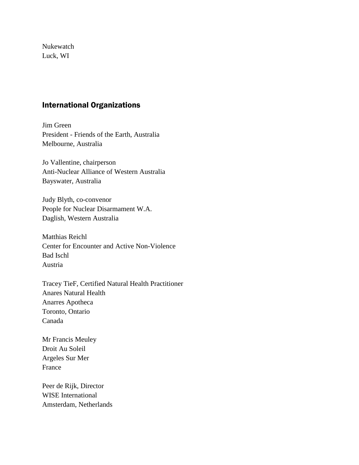Nukewatch Luck, WI

## International Organizations

Jim Green President - Friends of the Earth, Australia Melbourne, Australia

Jo Vallentine, chairperson Anti-Nuclear Alliance of Western Australia Bayswater, Australia

Judy Blyth, co-convenor People for Nuclear Disarmament W.A. Daglish, Western Australia

Matthias Reichl Center for Encounter and Active Non-Violence Bad Ischl Austria

Tracey TieF, Certified Natural Health Practitioner Anares Natural Health Anarres Apotheca Toronto, Ontario Canada

Mr Francis Meuley Droit Au Soleil Argeles Sur Mer France

Peer de Rijk, Director WISE International Amsterdam, Netherlands